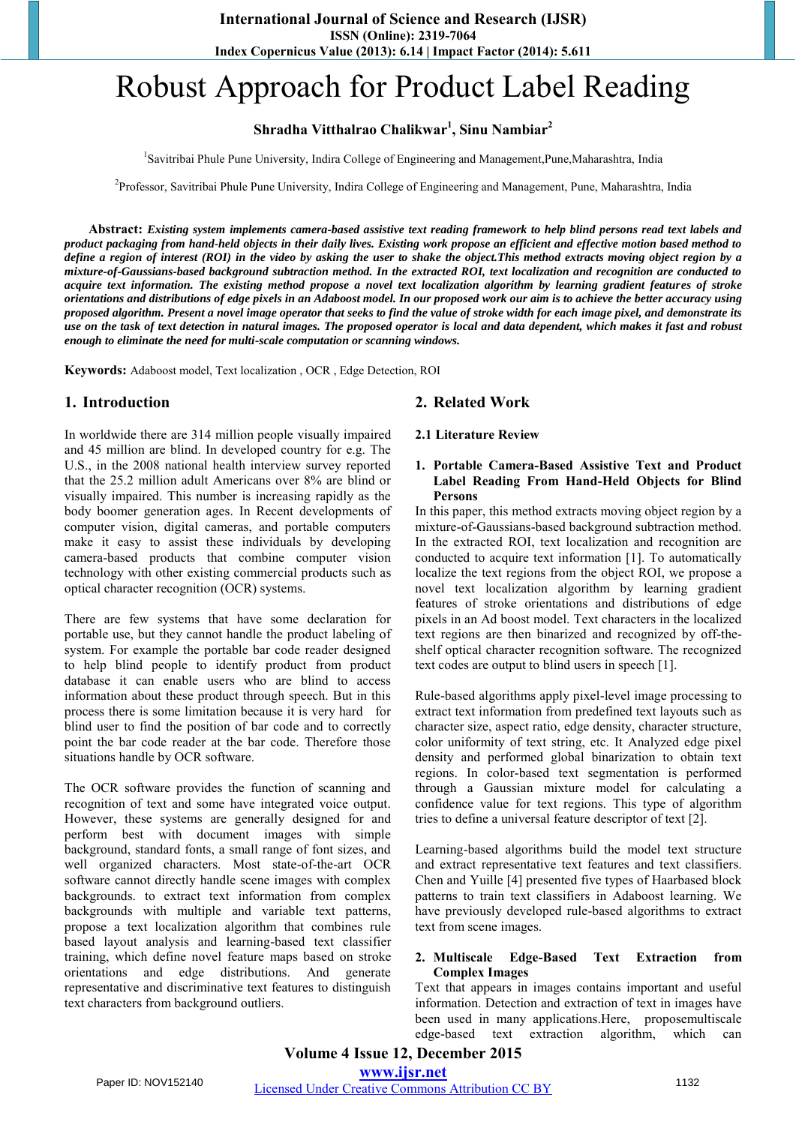# Robust Approach for Product Label Reading

# **Shradha Vitthalrao Chalikwar<sup>1</sup> , Sinu Nambiar<sup>2</sup>**

<sup>1</sup>Savitribai Phule Pune University, Indira College of Engineering and Management, Pune, Maharashtra, India

<sup>2</sup>Professor, Savitribai Phule Pune University, Indira College of Engineering and Management, Pune, Maharashtra, India

**Abstract:** *Existing system implements camera-based assistive text reading framework to help blind persons read text labels and product packaging from hand-held objects in their daily lives. Existing work propose an efficient and effective motion based method to define a region of interest (ROI) in the video by asking the user to shake the object.This method extracts moving object region by a mixture-of-Gaussians-based background subtraction method. In the extracted ROI, text localization and recognition are conducted to acquire text information. The existing method propose a novel text localization algorithm by learning gradient features of stroke orientations and distributions of edge pixels in an Adaboost model. In our proposed work our aim is to achieve the better accuracy using proposed algorithm. Present a novel image operator that seeks to find the value of stroke width for each image pixel, and demonstrate its use on the task of text detection in natural images. The proposed operator is local and data dependent, which makes it fast and robust enough to eliminate the need for multi-scale computation or scanning windows.*

**Keywords:** Adaboost model, Text localization , OCR , Edge Detection, ROI

# **1. Introduction**

In worldwide there are 314 million people visually impaired and 45 million are blind. In developed country for e.g. The U.S., in the 2008 national health interview survey reported that the 25.2 million adult Americans over 8% are blind or visually impaired. This number is increasing rapidly as the body boomer generation ages. In Recent developments of computer vision, digital cameras, and portable computers make it easy to assist these individuals by developing camera-based products that combine computer vision technology with other existing commercial products such as optical character recognition (OCR) systems.

There are few systems that have some declaration for portable use, but they cannot handle the product labeling of system. For example the portable bar code reader designed to help blind people to identify product from product database it can enable users who are blind to access information about these product through speech. But in this process there is some limitation because it is very hard for blind user to find the position of bar code and to correctly point the bar code reader at the bar code. Therefore those situations handle by OCR software.

The OCR software provides the function of scanning and recognition of text and some have integrated voice output. However, these systems are generally designed for and perform best with document images with simple background, standard fonts, a small range of font sizes, and well organized characters. Most state-of-the-art OCR software cannot directly handle scene images with complex backgrounds. to extract text information from complex backgrounds with multiple and variable text patterns, propose a text localization algorithm that combines rule based layout analysis and learning-based text classifier training, which define novel feature maps based on stroke orientations and edge distributions. And generate representative and discriminative text features to distinguish text characters from background outliers.

# **2. Related Work**

#### **2.1 Literature Review**

#### **1. Portable Camera-Based Assistive Text and Product Label Reading From Hand-Held Objects for Blind Persons**

In this paper, this method extracts moving object region by a mixture-of-Gaussians-based background subtraction method. In the extracted ROI, text localization and recognition are conducted to acquire text information [1]. To automatically localize the text regions from the object ROI, we propose a novel text localization algorithm by learning gradient features of stroke orientations and distributions of edge pixels in an Ad boost model. Text characters in the localized text regions are then binarized and recognized by off-theshelf optical character recognition software. The recognized text codes are output to blind users in speech [1].

Rule-based algorithms apply pixel-level image processing to extract text information from predefined text layouts such as character size, aspect ratio, edge density, character structure, color uniformity of text string, etc. It Analyzed edge pixel density and performed global binarization to obtain text regions. In color-based text segmentation is performed through a Gaussian mixture model for calculating a confidence value for text regions. This type of algorithm tries to define a universal feature descriptor of text [2].

Learning-based algorithms build the model text structure and extract representative text features and text classifiers. Chen and Yuille [4] presented five types of Haarbased block patterns to train text classifiers in Adaboost learning. We have previously developed rule-based algorithms to extract text from scene images.

#### **2. Multiscale Edge-Based Text Extraction from Complex Images**

Text that appears in images contains important and useful information. Detection and extraction of text in images have been used in many applications.Here, proposemultiscale edge-based text extraction algorithm, which can

# **Volume 4 Issue 12, December 2015 www.ijsr.net**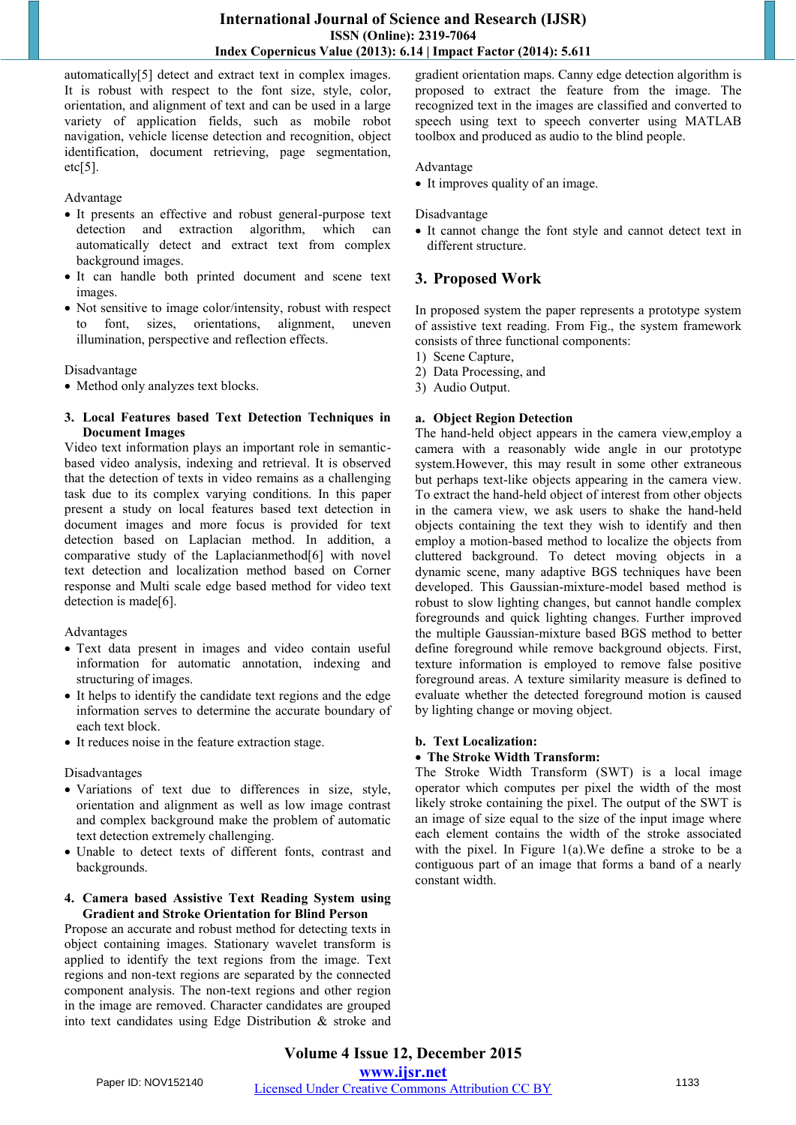automatically[5] detect and extract text in complex images. It is robust with respect to the font size, style, color, orientation, and alignment of text and can be used in a large variety of application fields, such as mobile robot navigation, vehicle license detection and recognition, object identification, document retrieving, page segmentation,  $etc[5]$ .

#### Advantage

- It presents an effective and robust general-purpose text detection and extraction algorithm, which can automatically detect and extract text from complex background images.
- It can handle both printed document and scene text images.
- Not sensitive to image color/intensity, robust with respect to font, sizes, orientations, alignment, uneven illumination, perspective and reflection effects.

#### Disadvantage

Method only analyzes text blocks.

#### **3. Local Features based Text Detection Techniques in Document Images**

Video text information plays an important role in semanticbased video analysis, indexing and retrieval. It is observed that the detection of texts in video remains as a challenging task due to its complex varying conditions. In this paper present a study on local features based text detection in document images and more focus is provided for text detection based on Laplacian method. In addition, a comparative study of the Laplacianmethod[6] with novel text detection and localization method based on Corner response and Multi scale edge based method for video text detection is made[6].

Advantages

- Text data present in images and video contain useful information for automatic annotation, indexing and structuring of images.
- It helps to identify the candidate text regions and the edge information serves to determine the accurate boundary of each text block.
- It reduces noise in the feature extraction stage.

Disadvantages

- Variations of text due to differences in size, style, orientation and alignment as well as low image contrast and complex background make the problem of automatic text detection extremely challenging.
- Unable to detect texts of different fonts, contrast and backgrounds.

#### **4. Camera based Assistive Text Reading System using Gradient and Stroke Orientation for Blind Person**

Propose an accurate and robust method for detecting texts in object containing images. Stationary wavelet transform is applied to identify the text regions from the image. Text regions and non-text regions are separated by the connected component analysis. The non-text regions and other region in the image are removed. Character candidates are grouped into text candidates using Edge Distribution & stroke and gradient orientation maps. Canny edge detection algorithm is proposed to extract the feature from the image. The recognized text in the images are classified and converted to speech using text to speech converter using MATLAB toolbox and produced as audio to the blind people.

#### Advantage

• It improves quality of an image.

#### Disadvantage

 It cannot change the font style and cannot detect text in different structure.

# **3. Proposed Work**

In proposed system the paper represents a prototype system of assistive text reading. From Fig., the system framework consists of three functional components:

- 1) Scene Capture,
- 2) Data Processing, and
- 3) Audio Output.

#### **a. Object Region Detection**

The hand-held object appears in the camera view,employ a camera with a reasonably wide angle in our prototype system.However, this may result in some other extraneous but perhaps text-like objects appearing in the camera view. To extract the hand-held object of interest from other objects in the camera view, we ask users to shake the hand-held objects containing the text they wish to identify and then employ a motion-based method to localize the objects from cluttered background. To detect moving objects in a dynamic scene, many adaptive BGS techniques have been developed. This Gaussian-mixture-model based method is robust to slow lighting changes, but cannot handle complex foregrounds and quick lighting changes. Further improved the multiple Gaussian-mixture based BGS method to better define foreground while remove background objects. First, texture information is employed to remove false positive foreground areas. A texture similarity measure is defined to evaluate whether the detected foreground motion is caused by lighting change or moving object.

#### **b. Text Localization:**

#### **The Stroke Width Transform:**

The Stroke Width Transform (SWT) is a local image operator which computes per pixel the width of the most likely stroke containing the pixel. The output of the SWT is an image of size equal to the size of the input image where each element contains the width of the stroke associated with the pixel. In Figure 1(a).We define a stroke to be a contiguous part of an image that forms a band of a nearly constant width.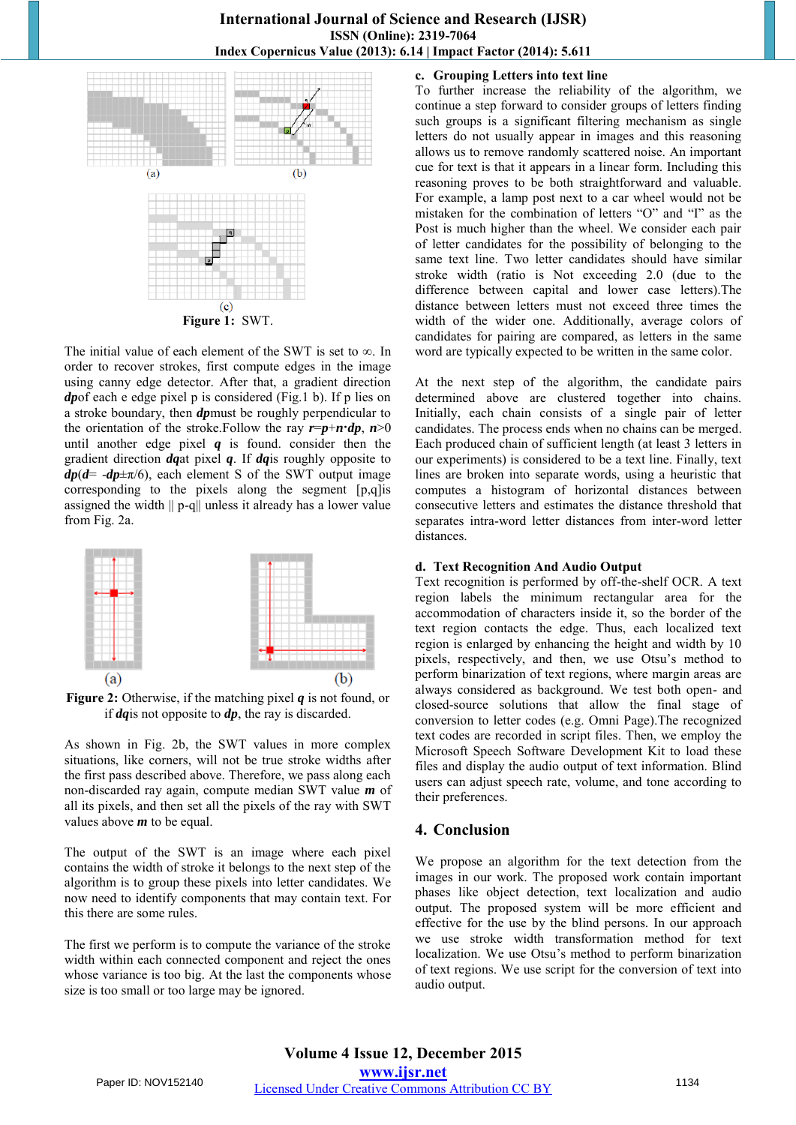

The initial value of each element of the SWT is set to ∞. In order to recover strokes, first compute edges in the image using canny edge detector. After that, a gradient direction *dp*of each e edge pixel p is considered (Fig.1 b). If p lies on a stroke boundary, then *dp*must be roughly perpendicular to the orientation of the stroke. Follow the ray  $r = p + n \cdot dp$ ,  $n \ge 0$ until another edge pixel *q* is found. consider then the gradient direction *dq*at pixel *q*. If *dq*is roughly opposite to  $dp(d= -dp \pm \pi/6)$ , each element S of the SWT output image corresponding to the pixels along the segment [p,q]is assigned the width || p-q|| unless it already has a lower value from Fig. 2a.



**Figure 2:** Otherwise, if the matching pixel *q* is not found, or if *dq*is not opposite to *dp*, the ray is discarded.

As shown in Fig. 2b, the SWT values in more complex situations, like corners, will not be true stroke widths after the first pass described above. Therefore, we pass along each non-discarded ray again, compute median SWT value *m* of all its pixels, and then set all the pixels of the ray with SWT values above *m* to be equal.

The output of the SWT is an image where each pixel contains the width of stroke it belongs to the next step of the algorithm is to group these pixels into letter candidates. We now need to identify components that may contain text. For this there are some rules.

The first we perform is to compute the variance of the stroke width within each connected component and reject the ones whose variance is too big. At the last the components whose size is too small or too large may be ignored.

# **c. Grouping Letters into text line**

To further increase the reliability of the algorithm, we continue a step forward to consider groups of letters finding such groups is a significant filtering mechanism as single letters do not usually appear in images and this reasoning allows us to remove randomly scattered noise. An important cue for text is that it appears in a linear form. Including this reasoning proves to be both straightforward and valuable. For example, a lamp post next to a car wheel would not be mistaken for the combination of letters "O" and "I" as the Post is much higher than the wheel. We consider each pair of letter candidates for the possibility of belonging to the same text line. Two letter candidates should have similar stroke width (ratio is Not exceeding 2.0 (due to the difference between capital and lower case letters).The distance between letters must not exceed three times the width of the wider one. Additionally, average colors of candidates for pairing are compared, as letters in the same word are typically expected to be written in the same color.

At the next step of the algorithm, the candidate pairs determined above are clustered together into chains. Initially, each chain consists of a single pair of letter candidates. The process ends when no chains can be merged. Each produced chain of sufficient length (at least 3 letters in our experiments) is considered to be a text line. Finally, text lines are broken into separate words, using a heuristic that computes a histogram of horizontal distances between consecutive letters and estimates the distance threshold that separates intra-word letter distances from inter-word letter distances.

#### **d. Text Recognition And Audio Output**

Text recognition is performed by off-the-shelf OCR. A text region labels the minimum rectangular area for the accommodation of characters inside it, so the border of the text region contacts the edge. Thus, each localized text region is enlarged by enhancing the height and width by 10 pixels, respectively, and then, we use Otsu's method to perform binarization of text regions, where margin areas are always considered as background. We test both open- and closed-source solutions that allow the final stage of conversion to letter codes (e.g. Omni Page).The recognized text codes are recorded in script files. Then, we employ the Microsoft Speech Software Development Kit to load these files and display the audio output of text information. Blind users can adjust speech rate, volume, and tone according to their preferences.

## **4. Conclusion**

We propose an algorithm for the text detection from the images in our work. The proposed work contain important phases like object detection, text localization and audio output. The proposed system will be more efficient and effective for the use by the blind persons. In our approach we use stroke width transformation method for text localization. We use Otsu's method to perform binarization of text regions. We use script for the conversion of text into audio output.

**Volume 4 Issue 12, December 2015 www.ijsr.net** Paper ID: NOV152140 Licensed Under Creative Commons Attribution CC BY 1134